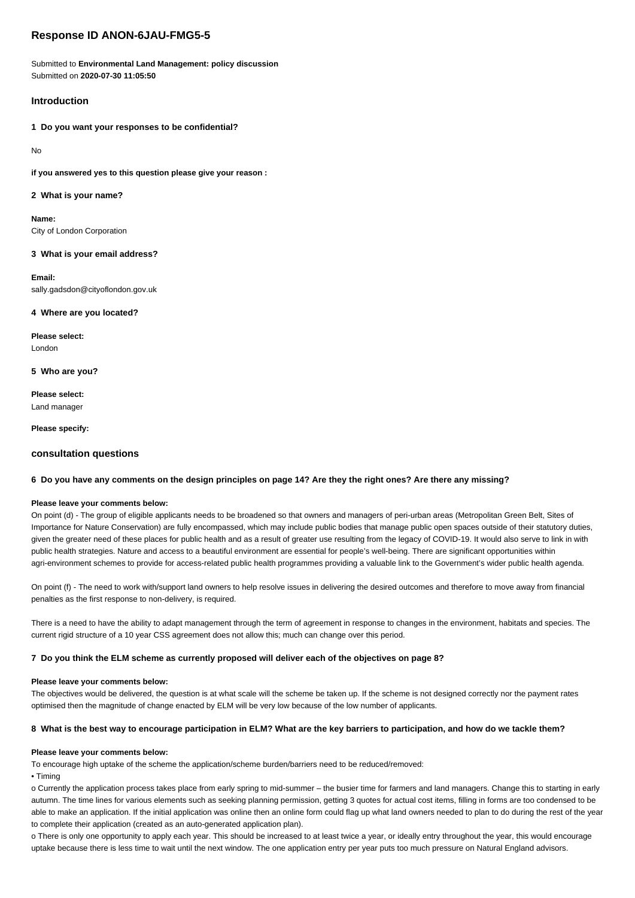# **Response ID ANON-6JAU-FMG5-5**

Submitted to **Environmental Land Management: policy discussion** Submitted on **2020-07-30 11:05:50**

# **Introduction**

**1 Do you want your responses to be confidential?**

No

**if you answered yes to this question please give your reason :**

### **2 What is your name?**

**Name:** City of London Corporation

### **3 What is your email address?**

**Email:** sally.gadsdon@cityoflondon.gov.uk

## **4 Where are you located?**

**Please select:** London

**5 Who are you?**

**Please select:** Land manager

**Please specify:**

## **consultation questions**

### **6 Do you have any comments on the design principles on page 14? Are they the right ones? Are there any missing?**

### **Please leave your comments below:**

On point (d) - The group of eligible applicants needs to be broadened so that owners and managers of peri-urban areas (Metropolitan Green Belt, Sites of Importance for Nature Conservation) are fully encompassed, which may include public bodies that manage public open spaces outside of their statutory duties, given the greater need of these places for public health and as a result of greater use resulting from the legacy of COVID-19. It would also serve to link in with public health strategies. Nature and access to a beautiful environment are essential for people's well-being. There are significant opportunities within agri-environment schemes to provide for access-related public health programmes providing a valuable link to the Government's wider public health agenda.

On point (f) - The need to work with/support land owners to help resolve issues in delivering the desired outcomes and therefore to move away from financial penalties as the first response to non-delivery, is required.

There is a need to have the ability to adapt management through the term of agreement in response to changes in the environment, habitats and species. The current rigid structure of a 10 year CSS agreement does not allow this; much can change over this period.

### **7 Do you think the ELM scheme as currently proposed will deliver each of the objectives on page 8?**

### **Please leave your comments below:**

The objectives would be delivered, the question is at what scale will the scheme be taken up. If the scheme is not designed correctly nor the payment rates optimised then the magnitude of change enacted by ELM will be very low because of the low number of applicants.

### **8 What is the best way to encourage participation in ELM? What are the key barriers to participation, and how do we tackle them?**

### **Please leave your comments below:**

To encourage high uptake of the scheme the application/scheme burden/barriers need to be reduced/removed:

• Timing

o Currently the application process takes place from early spring to mid-summer – the busier time for farmers and land managers. Change this to starting in early autumn. The time lines for various elements such as seeking planning permission, getting 3 quotes for actual cost items, filling in forms are too condensed to be able to make an application. If the initial application was online then an online form could flag up what land owners needed to plan to do during the rest of the vear to complete their application (created as an auto-generated application plan).

o There is only one opportunity to apply each year. This should be increased to at least twice a year, or ideally entry throughout the year, this would encourage uptake because there is less time to wait until the next window. The one application entry per year puts too much pressure on Natural England advisors.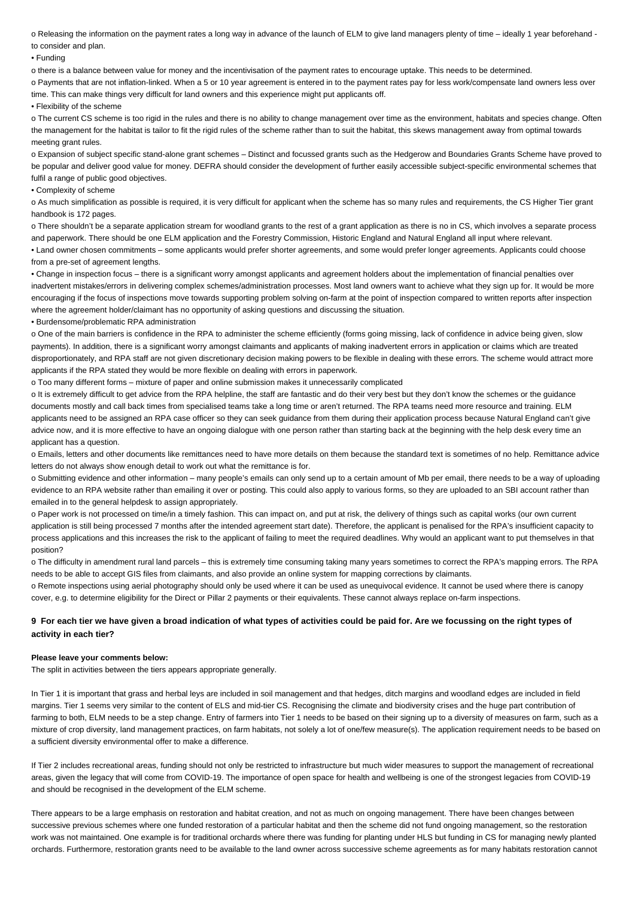o Releasing the information on the payment rates a long way in advance of the launch of ELM to give land managers plenty of time – ideally 1 year beforehand to consider and plan.

#### • Funding

o there is a balance between value for money and the incentivisation of the payment rates to encourage uptake. This needs to be determined.

o Payments that are not inflation-linked. When a 5 or 10 year agreement is entered in to the payment rates pay for less work/compensate land owners less over time. This can make things very difficult for land owners and this experience might put applicants off.

• Flexibility of the scheme

o The current CS scheme is too rigid in the rules and there is no ability to change management over time as the environment, habitats and species change. Often the management for the habitat is tailor to fit the rigid rules of the scheme rather than to suit the habitat, this skews management away from optimal towards meeting grant rules.

o Expansion of subject specific stand-alone grant schemes – Distinct and focussed grants such as the Hedgerow and Boundaries Grants Scheme have proved to be popular and deliver good value for money. DEFRA should consider the development of further easily accessible subject-specific environmental schemes that fulfil a range of public good objectives.

### • Complexity of scheme

o As much simplification as possible is required, it is very difficult for applicant when the scheme has so many rules and requirements, the CS Higher Tier grant handbook is 172 pages.

o There shouldn't be a separate application stream for woodland grants to the rest of a grant application as there is no in CS, which involves a separate process and paperwork. There should be one ELM application and the Forestry Commission, Historic England and Natural England all input where relevant. • Land owner chosen commitments – some applicants would prefer shorter agreements, and some would prefer longer agreements. Applicants could choose from a pre-set of agreement lengths.

• Change in inspection focus – there is a significant worry amongst applicants and agreement holders about the implementation of financial penalties over inadvertent mistakes/errors in delivering complex schemes/administration processes. Most land owners want to achieve what they sign up for. It would be more encouraging if the focus of inspections move towards supporting problem solving on-farm at the point of inspection compared to written reports after inspection where the agreement holder/claimant has no opportunity of asking questions and discussing the situation.

• Burdensome/problematic RPA administration

o One of the main barriers is confidence in the RPA to administer the scheme efficiently (forms going missing, lack of confidence in advice being given, slow payments). In addition, there is a significant worry amongst claimants and applicants of making inadvertent errors in application or claims which are treated disproportionately, and RPA staff are not given discretionary decision making powers to be flexible in dealing with these errors. The scheme would attract more applicants if the RPA stated they would be more flexible on dealing with errors in paperwork.

o Too many different forms – mixture of paper and online submission makes it unnecessarily complicated

o It is extremely difficult to get advice from the RPA helpline, the staff are fantastic and do their very best but they don't know the schemes or the guidance documents mostly and call back times from specialised teams take a long time or aren't returned. The RPA teams need more resource and training. ELM applicants need to be assigned an RPA case officer so they can seek guidance from them during their application process because Natural England can't give advice now, and it is more effective to have an ongoing dialogue with one person rather than starting back at the beginning with the help desk every time an applicant has a question.

o Emails, letters and other documents like remittances need to have more details on them because the standard text is sometimes of no help. Remittance advice letters do not always show enough detail to work out what the remittance is for.

o Submitting evidence and other information – many people's emails can only send up to a certain amount of Mb per email, there needs to be a way of uploading evidence to an RPA website rather than emailing it over or posting. This could also apply to various forms, so they are uploaded to an SBI account rather than emailed in to the general helpdesk to assign appropriately.

o Paper work is not processed on time/in a timely fashion. This can impact on, and put at risk, the delivery of things such as capital works (our own current application is still being processed 7 months after the intended agreement start date). Therefore, the applicant is penalised for the RPA's insufficient capacity to process applications and this increases the risk to the applicant of failing to meet the required deadlines. Why would an applicant want to put themselves in that position?

o The difficulty in amendment rural land parcels – this is extremely time consuming taking many years sometimes to correct the RPA's mapping errors. The RPA needs to be able to accept GIS files from claimants, and also provide an online system for mapping corrections by claimants.

o Remote inspections using aerial photography should only be used where it can be used as unequivocal evidence. It cannot be used where there is canopy cover, e.g. to determine eligibility for the Direct or Pillar 2 payments or their equivalents. These cannot always replace on-farm inspections.

### **9 For each tier we have given a broad indication of what types of activities could be paid for. Are we focussing on the right types of activity in each tier?**

#### **Please leave your comments below:**

The split in activities between the tiers appears appropriate generally.

In Tier 1 it is important that grass and herbal leys are included in soil management and that hedges, ditch margins and woodland edges are included in field margins. Tier 1 seems very similar to the content of ELS and mid-tier CS. Recognising the climate and biodiversity crises and the huge part contribution of farming to both, ELM needs to be a step change. Entry of farmers into Tier 1 needs to be based on their signing up to a diversity of measures on farm, such as a mixture of crop diversity, land management practices, on farm habitats, not solely a lot of one/few measure(s). The application requirement needs to be based on a sufficient diversity environmental offer to make a difference.

If Tier 2 includes recreational areas, funding should not only be restricted to infrastructure but much wider measures to support the management of recreational areas, given the legacy that will come from COVID-19. The importance of open space for health and wellbeing is one of the strongest legacies from COVID-19 and should be recognised in the development of the ELM scheme.

There appears to be a large emphasis on restoration and habitat creation, and not as much on ongoing management. There have been changes between successive previous schemes where one funded restoration of a particular habitat and then the scheme did not fund ongoing management, so the restoration work was not maintained. One example is for traditional orchards where there was funding for planting under HLS but funding in CS for managing newly planted orchards. Furthermore, restoration grants need to be available to the land owner across successive scheme agreements as for many habitats restoration cannot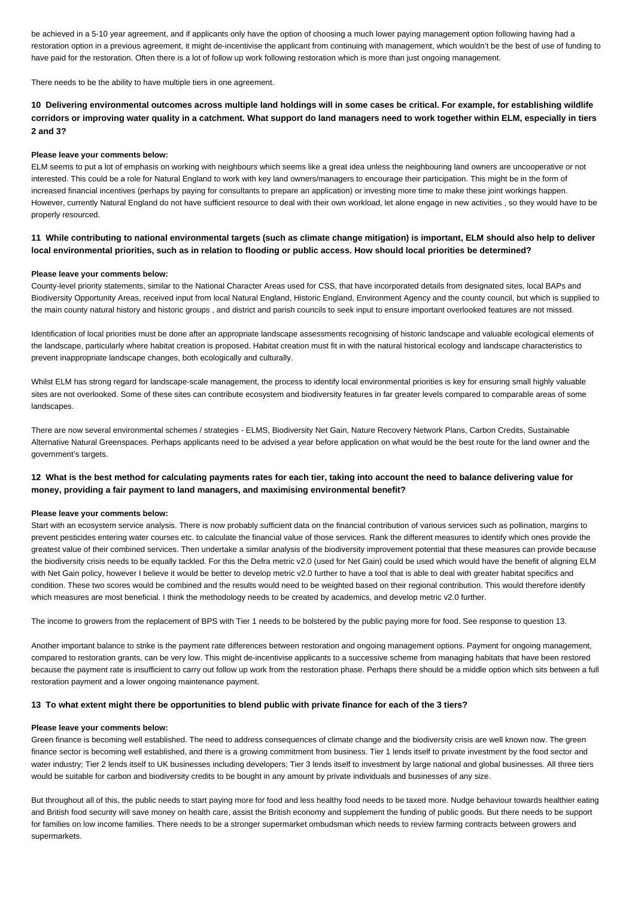be achieved in a 5-10 year agreement, and if applicants only have the option of choosing a much lower paying management option following having had a restoration option in a previous agreement, it might de-incentivise the applicant from continuing with management, which wouldn't be the best of use of funding to have paid for the restoration. Often there is a lot of follow up work following restoration which is more than just ongoing management.

There needs to be the ability to have multiple tiers in one agreement.

## **10 Delivering environmental outcomes across multiple land holdings will in some cases be critical. For example, for establishing wildlife corridors or improving water quality in a catchment. What support do land managers need to work together within ELM, especially in tiers 2 and 3?**

### **Please leave your comments below:**

ELM seems to put a lot of emphasis on working with neighbours which seems like a great idea unless the neighbouring land owners are uncooperative or not interested. This could be a role for Natural England to work with key land owners/managers to encourage their participation. This might be in the form of increased financial incentives (perhaps by paying for consultants to prepare an application) or investing more time to make these joint workings happen. However, currently Natural England do not have sufficient resource to deal with their own workload, let alone engage in new activities , so they would have to be properly resourced.

## **11 While contributing to national environmental targets (such as climate change mitigation) is important, ELM should also help to deliver local environmental priorities, such as in relation to flooding or public access. How should local priorities be determined?**

#### **Please leave your comments below:**

County-level priority statements, similar to the National Character Areas used for CSS, that have incorporated details from designated sites, local BAPs and Biodiversity Opportunity Areas, received input from local Natural England, Historic England, Environment Agency and the county council, but which is supplied to the main county natural history and historic groups , and district and parish councils to seek input to ensure important overlooked features are not missed.

Identification of local priorities must be done after an appropriate landscape assessments recognising of historic landscape and valuable ecological elements of the landscape, particularly where habitat creation is proposed. Habitat creation must fit in with the natural historical ecology and landscape characteristics to prevent inappropriate landscape changes, both ecologically and culturally.

Whilst ELM has strong regard for landscape-scale management, the process to identify local environmental priorities is key for ensuring small highly valuable sites are not overlooked. Some of these sites can contribute ecosystem and biodiversity features in far greater levels compared to comparable areas of some landscapes.

There are now several environmental schemes / strategies - ELMS, Biodiversity Net Gain, Nature Recovery Network Plans, Carbon Credits, Sustainable Alternative Natural Greenspaces. Perhaps applicants need to be advised a year before application on what would be the best route for the land owner and the government's targets.

# **12 What is the best method for calculating payments rates for each tier, taking into account the need to balance delivering value for money, providing a fair payment to land managers, and maximising environmental benefit?**

#### **Please leave your comments below:**

Start with an ecosystem service analysis. There is now probably sufficient data on the financial contribution of various services such as pollination, margins to prevent pesticides entering water courses etc. to calculate the financial value of those services. Rank the different measures to identify which ones provide the greatest value of their combined services. Then undertake a similar analysis of the biodiversity improvement potential that these measures can provide because the biodiversity crisis needs to be equally tackled. For this the Defra metric v2.0 (used for Net Gain) could be used which would have the benefit of aligning ELM with Net Gain policy, however I believe it would be better to develop metric v2.0 further to have a tool that is able to deal with greater habitat specifics and condition. These two scores would be combined and the results would need to be weighted based on their regional contribution. This would therefore identify which measures are most beneficial. I think the methodology needs to be created by academics, and develop metric v2.0 further.

The income to growers from the replacement of BPS with Tier 1 needs to be bolstered by the public paying more for food. See response to question 13.

Another important balance to strike is the payment rate differences between restoration and ongoing management options. Payment for ongoing management, compared to restoration grants, can be very low. This might de-incentivise applicants to a successive scheme from managing habitats that have been restored because the payment rate is insufficient to carry out follow up work from the restoration phase. Perhaps there should be a middle option which sits between a full restoration payment and a lower ongoing maintenance payment.

### **13 To what extent might there be opportunities to blend public with private finance for each of the 3 tiers?**

#### **Please leave your comments below:**

Green finance is becoming well established. The need to address consequences of climate change and the biodiversity crisis are well known now. The green finance sector is becoming well established, and there is a growing commitment from business. Tier 1 lends itself to private investment by the food sector and water industry: Tier 2 lends itself to UK businesses including developers: Tier 3 lends itself to investment by large national and global businesses. All three tiers would be suitable for carbon and biodiversity credits to be bought in any amount by private individuals and businesses of any size.

But throughout all of this, the public needs to start paying more for food and less healthy food needs to be taxed more. Nudge behaviour towards healthier eating and British food security will save money on health care, assist the British economy and supplement the funding of public goods. But there needs to be support for families on low income families. There needs to be a stronger supermarket ombudsman which needs to review farming contracts between growers and supermarkets.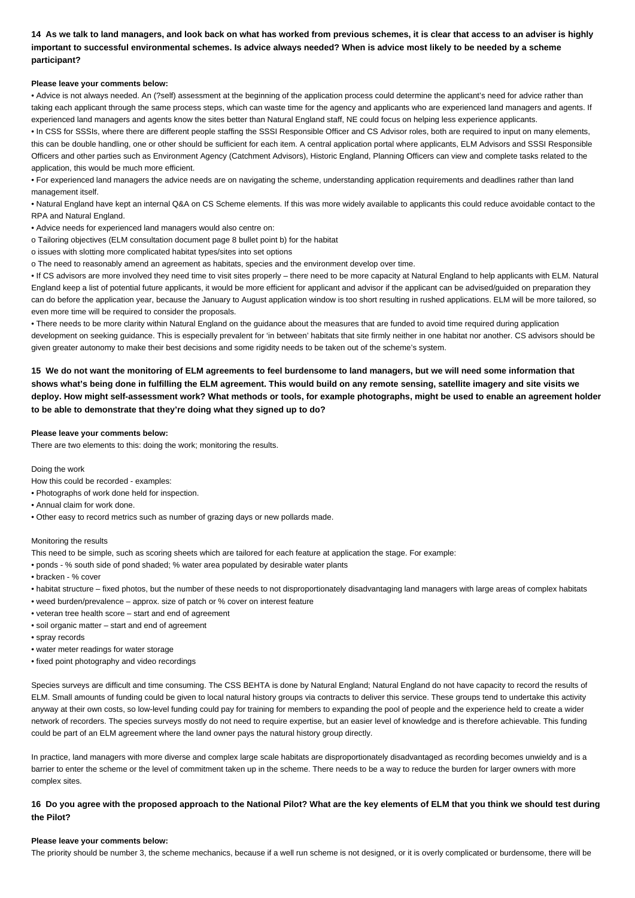**14 As we talk to land managers, and look back on what has worked from previous schemes, it is clear that access to an adviser is highly important to successful environmental schemes. Is advice always needed? When is advice most likely to be needed by a scheme participant?**

#### **Please leave your comments below:**

• Advice is not always needed. An (?self) assessment at the beginning of the application process could determine the applicant's need for advice rather than taking each applicant through the same process steps, which can waste time for the agency and applicants who are experienced land managers and agents. If experienced land managers and agents know the sites better than Natural England staff, NE could focus on helping less experience applicants.

• In CSS for SSSIs, where there are different people staffing the SSSI Responsible Officer and CS Advisor roles, both are required to input on many elements, this can be double handling, one or other should be sufficient for each item. A central application portal where applicants, ELM Advisors and SSSI Responsible Officers and other parties such as Environment Agency (Catchment Advisors), Historic England, Planning Officers can view and complete tasks related to the application, this would be much more efficient.

• For experienced land managers the advice needs are on navigating the scheme, understanding application requirements and deadlines rather than land management itself.

• Natural England have kept an internal Q&A on CS Scheme elements. If this was more widely available to applicants this could reduce avoidable contact to the RPA and Natural England.

• Advice needs for experienced land managers would also centre on:

o Tailoring objectives (ELM consultation document page 8 bullet point b) for the habitat

o issues with slotting more complicated habitat types/sites into set options

o The need to reasonably amend an agreement as habitats, species and the environment develop over time.

• If CS advisors are more involved they need time to visit sites properly – there need to be more capacity at Natural England to help applicants with ELM. Natural England keep a list of potential future applicants, it would be more efficient for applicant and advisor if the applicant can be advised/guided on preparation they can do before the application year, because the January to August application window is too short resulting in rushed applications. ELM will be more tailored, so even more time will be required to consider the proposals.

• There needs to be more clarity within Natural England on the guidance about the measures that are funded to avoid time required during application development on seeking guidance. This is especially prevalent for 'in between' habitats that site firmly neither in one habitat nor another. CS advisors should be given greater autonomy to make their best decisions and some rigidity needs to be taken out of the scheme's system.

**15 We do not want the monitoring of ELM agreements to feel burdensome to land managers, but we will need some information that shows what's being done in fulfilling the ELM agreement. This would build on any remote sensing, satellite imagery and site visits we deploy. How might self-assessment work? What methods or tools, for example photographs, might be used to enable an agreement holder to be able to demonstrate that they're doing what they signed up to do?**

#### **Please leave your comments below:**

There are two elements to this: doing the work; monitoring the results.

#### Doing the work

How this could be recorded - examples:

- Photographs of work done held for inspection.
- Annual claim for work done.
- Other easy to record metrics such as number of grazing days or new pollards made.

### Monitoring the results

This need to be simple, such as scoring sheets which are tailored for each feature at application the stage. For example:

- ponds % south side of pond shaded; % water area populated by desirable water plants
- bracken % cover
- habitat structure fixed photos, but the number of these needs to not disproportionately disadvantaging land managers with large areas of complex habitats
- weed burden/prevalence approx. size of patch or % cover on interest feature
- veteran tree health score start and end of agreement
- soil organic matter start and end of agreement
- spray records
- water meter readings for water storage
- fixed point photography and video recordings

Species surveys are difficult and time consuming. The CSS BEHTA is done by Natural England: Natural England do not have capacity to record the results of ELM. Small amounts of funding could be given to local natural history groups via contracts to deliver this service. These groups tend to undertake this activity anyway at their own costs, so low-level funding could pay for training for members to expanding the pool of people and the experience held to create a wider network of recorders. The species surveys mostly do not need to require expertise, but an easier level of knowledge and is therefore achievable. This funding could be part of an ELM agreement where the land owner pays the natural history group directly.

In practice, land managers with more diverse and complex large scale habitats are disproportionately disadvantaged as recording becomes unwieldy and is a barrier to enter the scheme or the level of commitment taken up in the scheme. There needs to be a way to reduce the burden for larger owners with more complex sites.

**16 Do you agree with the proposed approach to the National Pilot? What are the key elements of ELM that you think we should test during the Pilot?**

#### **Please leave your comments below:**

The priority should be number 3, the scheme mechanics, because if a well run scheme is not designed, or it is overly complicated or burdensome, there will be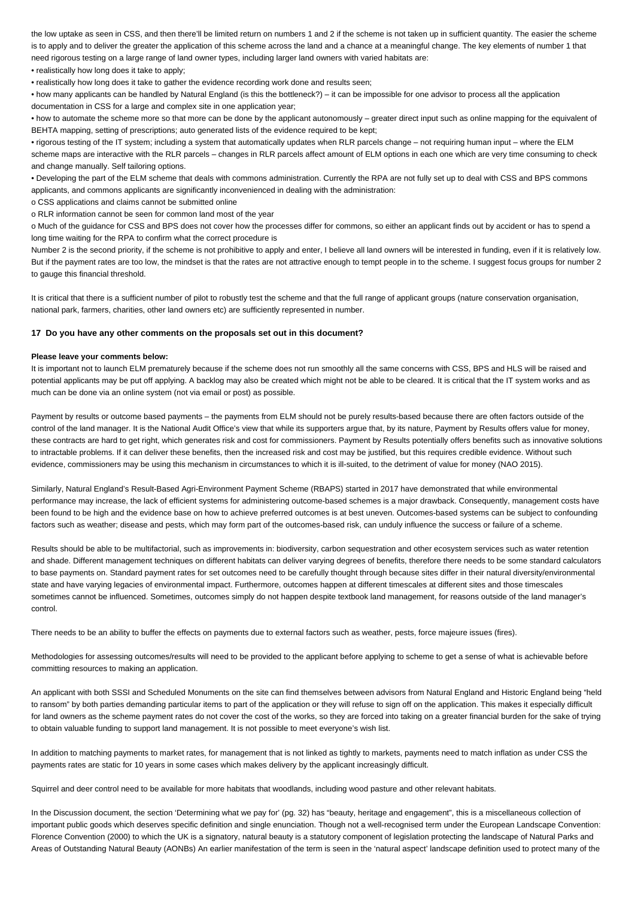the low uptake as seen in CSS, and then there'll be limited return on numbers 1 and 2 if the scheme is not taken up in sufficient quantity. The easier the scheme is to apply and to deliver the greater the application of this scheme across the land and a chance at a meaningful change. The key elements of number 1 that need rigorous testing on a large range of land owner types, including larger land owners with varied habitats are:

• realistically how long does it take to apply;

• realistically how long does it take to gather the evidence recording work done and results seen;

• how many applicants can be handled by Natural England (is this the bottleneck?) – it can be impossible for one advisor to process all the application documentation in CSS for a large and complex site in one application year;

• how to automate the scheme more so that more can be done by the applicant autonomously – greater direct input such as online mapping for the equivalent of BEHTA mapping, setting of prescriptions; auto generated lists of the evidence required to be kept;

• rigorous testing of the IT system; including a system that automatically updates when RLR parcels change – not requiring human input – where the ELM scheme maps are interactive with the RLR parcels – changes in RLR parcels affect amount of ELM options in each one which are very time consuming to check and change manually. Self tailoring options.

• Developing the part of the ELM scheme that deals with commons administration. Currently the RPA are not fully set up to deal with CSS and BPS commons applicants, and commons applicants are significantly inconvenienced in dealing with the administration:

o CSS applications and claims cannot be submitted online

o RLR information cannot be seen for common land most of the year

o Much of the guidance for CSS and BPS does not cover how the processes differ for commons, so either an applicant finds out by accident or has to spend a long time waiting for the RPA to confirm what the correct procedure is

Number 2 is the second priority, if the scheme is not prohibitive to apply and enter, I believe all land owners will be interested in funding, even if it is relatively low. But if the payment rates are too low, the mindset is that the rates are not attractive enough to tempt people in to the scheme. I suggest focus groups for number 2 to gauge this financial threshold.

It is critical that there is a sufficient number of pilot to robustly test the scheme and that the full range of applicant groups (nature conservation organisation, national park, farmers, charities, other land owners etc) are sufficiently represented in number.

### **17 Do you have any other comments on the proposals set out in this document?**

### **Please leave your comments below:**

It is important not to launch ELM prematurely because if the scheme does not run smoothly all the same concerns with CSS, BPS and HLS will be raised and potential applicants may be put off applying. A backlog may also be created which might not be able to be cleared. It is critical that the IT system works and as much can be done via an online system (not via email or post) as possible.

Payment by results or outcome based payments – the payments from ELM should not be purely results-based because there are often factors outside of the control of the land manager. It is the National Audit Office's view that while its supporters argue that, by its nature, Payment by Results offers value for money, these contracts are hard to get right, which generates risk and cost for commissioners. Payment by Results potentially offers benefits such as innovative solutions to intractable problems. If it can deliver these benefits, then the increased risk and cost may be justified, but this requires credible evidence. Without such evidence, commissioners may be using this mechanism in circumstances to which it is ill-suited, to the detriment of value for money (NAO 2015).

Similarly, Natural England's Result-Based Agri-Environment Payment Scheme (RBAPS) started in 2017 have demonstrated that while environmental performance may increase, the lack of efficient systems for administering outcome-based schemes is a major drawback. Consequently, management costs have been found to be high and the evidence base on how to achieve preferred outcomes is at best uneven. Outcomes-based systems can be subject to confounding factors such as weather; disease and pests, which may form part of the outcomes-based risk, can unduly influence the success or failure of a scheme.

Results should be able to be multifactorial, such as improvements in: biodiversity, carbon sequestration and other ecosystem services such as water retention and shade. Different management techniques on different habitats can deliver varying degrees of benefits, therefore there needs to be some standard calculators to base payments on. Standard payment rates for set outcomes need to be carefully thought through because sites differ in their natural diversity/environmental state and have varying legacies of environmental impact. Furthermore, outcomes happen at different timescales at different sites and those timescales sometimes cannot be influenced. Sometimes, outcomes simply do not happen despite textbook land management, for reasons outside of the land manager's control.

There needs to be an ability to buffer the effects on payments due to external factors such as weather, pests, force majeure issues (fires).

Methodologies for assessing outcomes/results will need to be provided to the applicant before applying to scheme to get a sense of what is achievable before committing resources to making an application.

An applicant with both SSSI and Scheduled Monuments on the site can find themselves between advisors from Natural England and Historic England being "held to ransom" by both parties demanding particular items to part of the application or they will refuse to sign off on the application. This makes it especially difficult for land owners as the scheme payment rates do not cover the cost of the works, so they are forced into taking on a greater financial burden for the sake of trying to obtain valuable funding to support land management. It is not possible to meet everyone's wish list.

In addition to matching payments to market rates, for management that is not linked as tightly to markets, payments need to match inflation as under CSS the payments rates are static for 10 years in some cases which makes delivery by the applicant increasingly difficult.

Squirrel and deer control need to be available for more habitats that woodlands, including wood pasture and other relevant habitats.

In the Discussion document, the section 'Determining what we pay for' (pg. 32) has "beauty, heritage and engagement", this is a miscellaneous collection of important public goods which deserves specific definition and single enunciation. Though not a well-recognised term under the European Landscape Convention: Florence Convention (2000) to which the UK is a signatory, natural beauty is a statutory component of legislation protecting the landscape of Natural Parks and Areas of Outstanding Natural Beauty (AONBs) An earlier manifestation of the term is seen in the 'natural aspect' landscape definition used to protect many of the